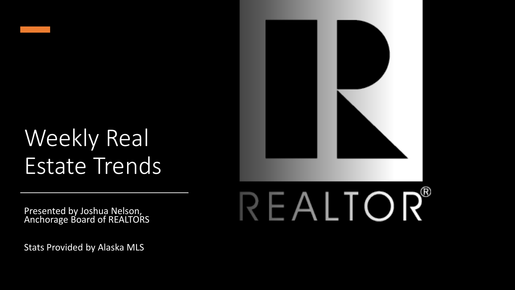

## Weekly Real Estate Trends

Presented by Joshua Nelson, Anchorage Board of REALTORS

Stats Provided by Alaska MLS

## REALTOR®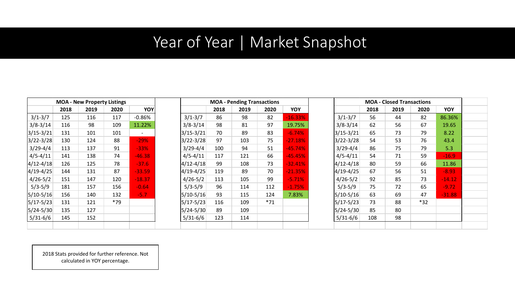## Year of Year | Market Snapshot

|               |      | <b>MOA - New Property Listings</b> |      |          |
|---------------|------|------------------------------------|------|----------|
|               | 2018 | 2019                               | 2020 | YOY      |
| $3/1 - 3/7$   | 125  | 116                                | 117  | $-0.86%$ |
| $3/8 - 3/14$  | 116  | 98                                 | 109  | 11.22%   |
| $3/15 - 3/21$ | 131  | 101                                | 101  |          |
| $3/22 - 3/28$ | 130  | 124                                | 88   | $-29%$   |
| $3/29 - 4/4$  | 113  | 137                                | 91   | -33%     |
| $4/5 - 4/11$  | 141  | 138                                | 74   | $-46.38$ |
| $4/12 - 4/18$ | 126  | 125                                | 78   | $-37.6$  |
| 4/19-4/25     | 144  | 131                                | 87   | $-33.59$ |
| $4/26 - 5/2$  | 151  | 147                                | 120  | -18.37   |
| $5/3 - 5/9$   | 181  | 157                                | 156  | $-0.64$  |
| $5/10-5/16$   | 156  | 140                                | 132  | -5.7     |
| $5/17 - 5/23$ | 131  | 121                                | *79  |          |
| $5/24 - 5/30$ | 135  | 127                                |      |          |
| $5/31 - 6/6$  | 145  | 152                                |      |          |
|               |      |                                    |      |          |

|               | <b>MOA - New Property Listings</b> |      |       |          | <b>MOA - Pending Transactions</b> |      |      |       | <b>MOA - Closed Transactions</b> |               |      |      |       |            |
|---------------|------------------------------------|------|-------|----------|-----------------------------------|------|------|-------|----------------------------------|---------------|------|------|-------|------------|
|               | 2018                               | 2019 | 2020  | YOY      |                                   | 2018 | 2019 | 2020  | YOY                              |               | 2018 | 2019 | 2020  | <b>YOY</b> |
| $3/1 - 3/7$   | 125                                | 116  | 117   | $-0.86%$ | $3/1 - 3/7$                       | 86   | 98   | 82    | $-16.33%$                        | $3/1 - 3/7$   | 56   | 44   | 82    | 86.36%     |
| $3/8 - 3/14$  | 116                                | 98   | 109   | 11.22%   | $3/8 - 3/14$                      | 98   | 81   | 97    | 19.75%                           | $3/8 - 3/14$  | 62   | 56   | 67    | 19.65      |
| $3/15 - 3/21$ | 131                                | 101  | 101   |          | $3/15 - 3/21$                     | 70   | 89   | 83    | $-6.74%$                         | 3/15-3/21     | 65   | 73   | 79    | 8.22       |
| $3/22 - 3/28$ | 130                                | 124  | 88    | $-29%$   | $3/22 - 3/28$                     | 97   | 103  | 75    | $-27.18%$                        | $3/22 - 3/28$ | 54   | 53   | 76    | 43.4       |
| $3/29 - 4/4$  | 113                                | 137  | 91    | $-33%$   | $3/29 - 4/4$                      | 100  | 94   | 51    | $-45.74%$                        | $3/29 - 4/4$  | 86   | 75   | 79    | 5.3        |
| $4/5 - 4/11$  | 141                                | 138  | 74    | $-46.38$ | $4/5 - 4/11$                      | 117  | 121  | 66    | $-45.45%$                        | $4/5 - 4/11$  | 54   | 71   | 59    | $-16.9$    |
| $4/12 - 4/18$ | 126                                | 125  | 78    | $-37.6$  | $4/12 - 4/18$                     | 99   | 108  | 73    | $-32.41%$                        | $4/12 - 4/18$ | 80   | 59   | 66    | 11.86      |
| 4/19-4/25     | 144                                | 131  | 87    | $-33.59$ | $4/19-4/25$                       | 119  | 89   | 70    | $-21.35%$                        | 4/19-4/25     | 67   | 56   | 51    | $-8.93$    |
| $4/26 - 5/2$  | 151                                | 147  | 120   | $-18.37$ | $4/26 - 5/2$                      | 113  | 105  | 99    | $-5.71%$                         | $4/26 - 5/2$  | 92   | 85   | 73    | $-14.12$   |
| $5/3 - 5/9$   | 181                                | 157  | 156   | $-0.64$  | $5/3 - 5/9$                       | 96   | 114  | 112   | $-1.75%$                         | $5/3 - 5/9$   | 75   | 72   | 65    | $-9.72$    |
| $5/10 - 5/16$ | 156                                | 140  | 132   | $-5.7$   | $5/10-5/16$                       | 93   | 115  | 124   | 7.83%                            | 5/10-5/16     | 63   | 69   | 47    | $-31.88$   |
| 5/17-5/23     | 131                                | 121  | $*79$ |          | $5/17 - 5/23$                     | 116  | 109  | $*71$ |                                  | 5/17-5/23     | 73   | 88   | $*32$ |            |
| $5/24 - 5/30$ | 135                                | 127  |       |          | $5/24 - 5/30$                     | 89   | 109  |       |                                  | 5/24-5/30     | 85   | 80   |       |            |
| $5/31 - 6/6$  | 145                                | 152  |       |          | $5/31 - 6/6$                      | 123  | 114  |       |                                  | $5/31 - 6/6$  | 108  | 98   |       |            |
|               |                                    |      |       |          |                                   |      |      |       |                                  |               |      |      |       |            |

| <b>MOA - Closed Transactions</b> |      |      |      |          |  |
|----------------------------------|------|------|------|----------|--|
|                                  | 2018 | 2019 | 2020 | YOY      |  |
| $3/1 - 3/7$                      | 56   | 44   | 82   | 86.36%   |  |
| $3/8 - 3/14$                     | 62   | 56   | 67   | 19.65    |  |
| $3/15 - 3/21$                    | 65   | 73   | 79   | 8.22     |  |
| $3/22 - 3/28$                    | 54   | 53   | 76   | 43.4     |  |
| $3/29 - 4/4$                     | 86   | 75   | 79   | 5.3      |  |
| $4/5 - 4/11$                     | 54   | 71   | 59   | $-16.9$  |  |
| $4/12 - 4/18$                    | 80   | 59   | 66   | 11.86    |  |
| $4/19 - 4/25$                    | 67   | 56   | 51   | $-8.93$  |  |
| $4/26 - 5/2$                     | 92   | 85   | 73   | $-14.12$ |  |
| $5/3 - 5/9$                      | 75   | 72   | 65   | $-9.72$  |  |
| $5/10-5/16$                      | 63   | 69   | 47   | $-31.88$ |  |
| $5/17 - 5/23$                    | 73   | 88   | *32  |          |  |
| $5/24 - 5/30$                    | 85   | 80   |      |          |  |
| $5/31-6/6$                       | 108  | 98   |      |          |  |
|                                  |      |      |      |          |  |

2018 Stats provided for further reference. Not calculated in YOY percentage.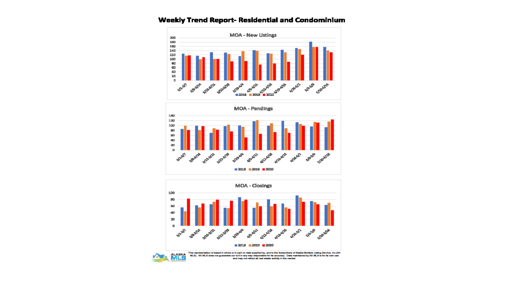

## Weekly Trend Report- Residential and Condominium







This representation is based in whole or in part on data supplied by, and to the Subscribers of Alaska Multiple Listing Service, Inc.(AK MLS). AK MLS does not guarantee nor is it in any way responsible for its accuracy. Data maintained by AK MLS is for its own use<br>and may not reflect all real eatate activity in the market.